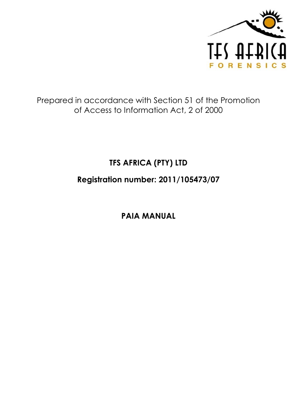

## Prepared in accordance with Section 51 of the Promotion of Access to Information Act, 2 of 2000

# **TFS AFRICA (PTY) LTD**

**Registration number: 2011/105473/07**

**PAIA MANUAL**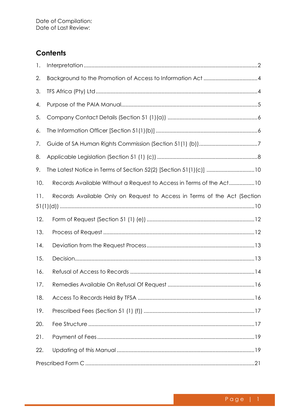## **Contents**

| 1.  |                                                                          |
|-----|--------------------------------------------------------------------------|
| 2.  | Background to the Promotion of Access to Information Act4                |
| 3.  |                                                                          |
| 4.  |                                                                          |
| 5.  |                                                                          |
| 6.  |                                                                          |
| 7.  |                                                                          |
| 8.  |                                                                          |
| 9.  | The Latest Notice in Terms of Section 52(2) [Section 51(1)(c)] 10        |
| 10. | Records Available Without a Request to Access in Terms of the Act10      |
| 11. | Records Available Only on Request to Access in Terms of the Act (Section |
| 12. |                                                                          |
| 13. |                                                                          |
| 14. |                                                                          |
| 15. |                                                                          |
| 16. |                                                                          |
| 17. |                                                                          |
| 18. |                                                                          |
| 19. |                                                                          |
| 20. |                                                                          |
| 21. |                                                                          |
| 22. |                                                                          |
|     |                                                                          |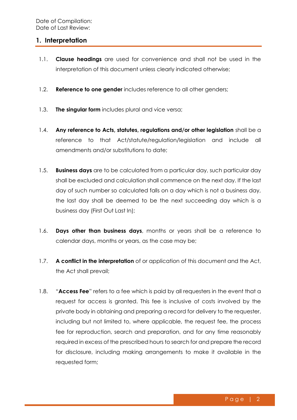#### <span id="page-2-0"></span>**1. Interpretation**

- 1.1. **Clause headings** are used for convenience and shall not be used in the interpretation of this document unless clearly indicated otherwise;
- 1.2. **Reference to one gender** includes reference to all other genders;
- 1.3. **The singular form** includes plural and vice versa;
- 1.4. **Any reference to Acts, statutes, regulations and/or other legislation** shall be a reference to that Act/statute/regulation/legislation and include all amendments and/or substitutions to date;
- 1.5. **Business days** are to be calculated from a particular day, such particular day shall be excluded and calculation shall commence on the next day. If the last day of such number so calculated falls on a day which is not a business day, the last day shall be deemed to be the next succeeding day which is a business day (First Out Last In);
- 1.6. **Days other than business days**, months or years shall be a reference to calendar days, months or years, as the case may be;
- 1.7. **A conflict in the interpretation** of or application of this document and the Act, the Act shall prevail;
- 1.8. "**Access Fee**" refers to a fee which is paid by all requesters in the event that a request for access is granted. This fee is inclusive of costs involved by the private body in obtaining and preparing a record for delivery to the requester, including but not limited to, where applicable, the request fee, the process fee for reproduction, search and preparation, and for any time reasonably required in excess of the prescribed hours to search for and prepare the record for disclosure, including making arrangements to make it available in the requested form;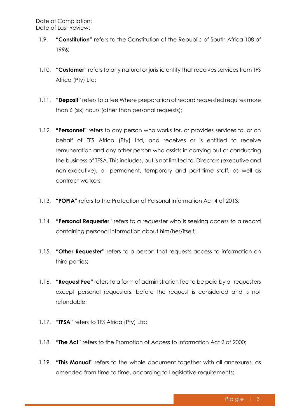- 1.9. "**Constitution**" refers to the Constitution of the Republic of South Africa 108 of 1996;
- 1.10. "**Customer**" refers to any natural or juristic entity that receives services from TFS Africa (Pty) Ltd;
- 1.11. "**Deposit**" refers to a fee Where preparation of record requested requires more than 6 (six) hours (other than personal requests);
- 1.12. **"Personnel"** refers to any person who works for, or provides services to, or on behalf of TFS Africa (Pty) Ltd, and receives or is entitled to receive remuneration and any other person who assists in carrying out or conducting the business of TFSA. This includes, but is not limited to, Directors (executive and non-executive), all permanent, temporary and part-time staff, as well as contract workers;
- 1.13. **"POPIA"** refers to the Protection of Personal Information Act 4 of 2013;
- 1.14. "**Personal Requester**" refers to a requester who is seeking access to a record containing personal information about him/her/itself;
- 1.15. "**Other Requester**" refers to a person that requests access to information on third parties;
- 1.16. "**Request Fee**" refers to a form of administration fee to be paid by all requesters except personal requesters, before the request is considered and is not refundable;
- 1.17. "**TFSA**" refers to TFS Africa (Pty) Ltd;
- 1.18. "**The Act**" refers to the Promotion of Access to Information Act 2 of 2000;
- 1.19. "**This Manual**" refers to the whole document together with all annexures, as amended from time to time, according to Legislative requirements;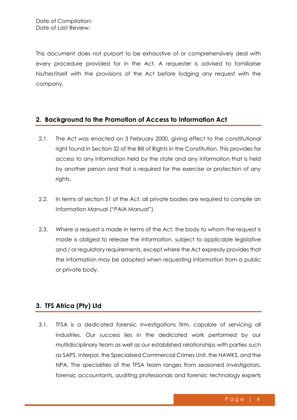This document does not purport to be exhaustive of or comprehensively deal with every procedure provided for in the Act. A requester is advised to familiarise his/her/itself with the provisions of the Act before lodging any request with the company.

## <span id="page-4-0"></span>**2. Background to the Promotion of Access to Information Act**

- 2.1. The Act was enacted on 3 February 2000, giving effect to the constitutional right found in Section 32 of the Bill of Rights in the Constitution. This provides for access to any information held by the state and any information that is held by another person and that is required for the exercise or protection of any rights.
- 2.2. In terms of section 51 of the Act, all private bodies are required to compile an Information Manual ("PAIA Manual").
- 2.3. Where a request is made in terms of the Act, the body to whom the request is made is obliged to release the information, subject to applicable legislative and / or regulatory requirements, except where the Act expressly provides that the information may be adopted when requesting information from a public or private body.

## <span id="page-4-1"></span>**3. TFS Africa (Pty) Ltd**

3.1. TFSA is a dedicated forensic investigations firm, capable of servicing all industries. Our success lies in the dedicated work performed by our multidisciplinary team as well as our established relationships with parties such as SAPS, Interpol, the Specialised Commercial Crimes Unit, the HAWKS, and the NPA. The specialities of the TFSA team ranges from seasoned investigators, forensic accountants, auditing professionals and forensic technology experts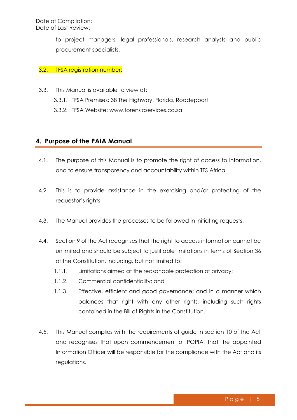to project managers, legal professionals, research analysts and public procurement specialists.

#### 3.2. TFSA registration number:

- 3.3. This Manual is available to view at:
	- 3.3.1. TFSA Premises: 38 The Highway, Florida, Roodepoort
	- 3.3.2. TFSA Website: [www.forensicservices.co.za](http://www.forensicservices.co.za/)

## <span id="page-5-0"></span>**4. Purpose of the PAIA Manual**

- 4.1. The purpose of this Manual is to promote the right of access to information, and to ensure transparency and accountability within TFS Africa.
- 4.2. This is to provide assistance in the exercising and/or protecting of the requestor's rights.
- 4.3. The Manual provides the processes to be followed in initiating requests.
- 4.4. Section 9 of the Act recognises that the right to access information cannot be unlimited and should be subject to justifiable limitations in terms of Section 36 of the Constitution, including, but not limited to:
	- 1.1.1. Limitations aimed at the reasonable protection of privacy;
	- 1.1.2. Commercial confidentiality; and
	- 1.1.3. Effective, efficient and good governance; and in a manner which balances that right with any other rights, including such rights contained in the Bill of Rights in the Constitution.
- 4.5. This Manual complies with the requirements of guide in section 10 of the Act and recognises that upon commencement of POPIA, that the appointed Information Officer will be responsible for the compliance with the Act and its regulations.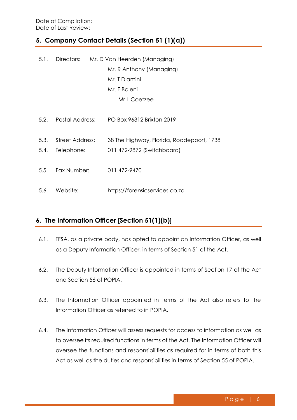## <span id="page-6-0"></span>**5. Company Contact Details (Section 51 (1)(a))**

| Directors: Mr. D Van Heerden (Managing)<br>5.1. |                      |  |                                           |
|-------------------------------------------------|----------------------|--|-------------------------------------------|
|                                                 |                      |  | Mr. R Anthony (Managing)                  |
|                                                 |                      |  | Mr. T Dlamini                             |
|                                                 |                      |  | Mr. F Baleni                              |
|                                                 |                      |  | Mr L Coetzee                              |
|                                                 | 5.2. Postal Address: |  | PO Box 96312 Brixton 2019                 |
|                                                 | 5.3. Street Address: |  | 38 The Highway, Florida, Roodepoort, 1738 |
| 5.4.                                            | Telephone:           |  | 011 472-9872 (Switchboard)                |
|                                                 | 5.5. Fax Number:     |  | 011 472-9470                              |
|                                                 | 5.6. Website:        |  | https://forensicservices.co.za            |

## <span id="page-6-1"></span>**6. The Information Officer [Section 51(1)(b)]**

- 6.1. TFSA, as a private body, has opted to appoint an Information Officer, as well as a Deputy Information Officer, in terms of Section 51 of the Act.
- 6.2. The Deputy Information Officer is appointed in terms of Section 17 of the Act and Section 56 of POPIA.
- 6.3. The Information Officer appointed in terms of the Act also refers to the Information Officer as referred to in POPIA.
- 6.4. The Information Officer will assess requests for access to information as well as to oversee its required functions in terms of the Act. The Information Officer will oversee the functions and responsibilities as required for in terms of both this Act as well as the duties and responsibilities in terms of Section 55 of POPIA.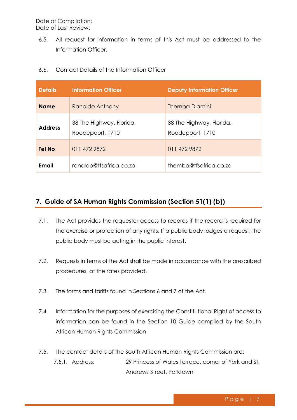6.5. All request for information in terms of this Act must be addressed to the Information Officer.

| <b>Details</b> | <b>Information Officer</b>                   | <b>Deputy Information Officer</b>            |
|----------------|----------------------------------------------|----------------------------------------------|
| <b>Name</b>    | Ranaldo Anthony                              | Themba Dlamini                               |
| <b>Address</b> | 38 The Highway, Florida,<br>Roodepoort, 1710 | 38 The Highway, Florida,<br>Roodepoort, 1710 |
| <b>Tel No</b>  | 011 472 9872                                 | 011 472 9872                                 |
| <b>Email</b>   | ranaldo@tfsafrica.co.za                      | themba@tfsafrica.co.za                       |

6.6. Contact Details of the Information Officer

## <span id="page-7-0"></span>**7. Guide of SA Human Rights Commission (Section 51(1) (b))**

- 7.1. The Act provides the requester access to records if the record is required for the exercise or protection of any rights. If a public body lodges a request, the public body must be acting in the public interest.
- 7.2. Requests in terms of the Act shall be made in accordance with the prescribed procedures, at the rates provided.
- 7.3. The forms and tariffs found in Sections 6 and 7 of the Act.
- 7.4. Information for the purposes of exercising the Constitutional Right of access to information can be found in the Section 10 Guide compiled by the South African Human Rights Commission
- 7.5. The contact details of the South African Human Rights Commission are: 7.5.1. Address: 29 Princess of Wales Terrace, corner of York and St. Andrews Street, Parktown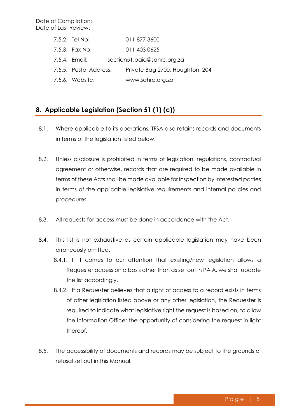| 7.5.2. Tel No:         | 011-877 3600                     |
|------------------------|----------------------------------|
| 7.5.3. Fax No:         | 011-403 0625                     |
| 7.5.4. Email:          | section51.paia@sahrc.org.za      |
| 7.5.5. Postal Address: | Private Bag 2700, Houghton, 2041 |
| 7.5.6. Website:        | www.sahrc.org.za                 |

## <span id="page-8-0"></span>**8. Applicable Legislation (Section 51 (1) (c))**

- 8.1. Where applicable to its operations, TFSA also retains records and documents in terms of the legislation listed below.
- 8.2. Unless disclosure is prohibited in terms of legislation, regulations, contractual agreement or otherwise, records that are required to be made available in terms of these Acts shall be made available for inspection by interested parties in terms of the applicable legislative requirements and internal policies and procedures.
- 8.3. All requests for access must be done in accordance with the Act.
- 8.4. This list is not exhaustive as certain applicable legislation may have been erroneously omitted.
	- 8.4.1. If it comes to our attention that existing/new legislation allows a Requester access on a basis other than as set out in PAIA, we shall update the list accordingly.
	- 8.4.2. If a Requester believes that a right of access to a record exists in terms of other legislation listed above or any other legislation, the Requester is required to indicate what legislative right the request is based on, to allow the Information Officer the opportunity of considering the request in light thereof.
- 8.5. The accessibility of documents and records may be subject to the grounds of refusal set out in this Manual.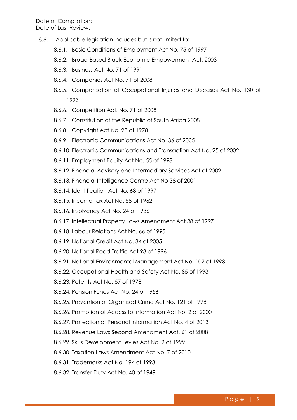- 8.6. Applicable legislation includes but is not limited to:
	- 8.6.1. Basic Conditions of Employment Act No. 75 of 1997
	- 8.6.2. Broad-Based Black Economic Empowerment Act, 2003
	- 8.6.3. Business Act No. 71 of 1991
	- 8.6.4. Companies Act No. 71 of 2008
	- 8.6.5. Compensation of Occupational Injuries and Diseases Act No. 130 of 1993
	- 8.6.6. Competition Act. No. 71 of 2008
	- 8.6.7. Constitution of the Republic of South Africa 2008
	- 8.6.8. Copyright Act No. 98 of 1978
	- 8.6.9. Electronic Communications Act No. 36 of 2005
	- 8.6.10. Electronic Communications and Transaction Act No. 25 of 2002
	- 8.6.11. Employment Equity Act No. 55 of 1998
	- 8.6.12. Financial Advisory and Intermediary Services Act of 2002
	- 8.6.13. Financial Intelligence Centre Act No 38 of 2001
	- 8.6.14. Identification Act No. 68 of 1997
	- 8.6.15. Income Tax Act No. 58 of 1962
	- 8.6.16. Insolvency Act No. 24 of 1936
	- 8.6.17. Intellectual Property Laws Amendment Act 38 of 1997
	- 8.6.18. Labour Relations Act No. 66 of 1995
	- 8.6.19. National Credit Act No. 34 of 2005
	- 8.6.20. National Road Traffic Act 93 of 1996
	- 8.6.21. National Environmental Management Act No. 107 of 1998
	- 8.6.22. Occupational Health and Safety Act No. 85 of 1993
	- 8.6.23. Patents Act No. 57 of 1978
	- 8.6.24. Pension Funds Act No. 24 of 1956
	- 8.6.25. Prevention of Organised Crime Act No. 121 of 1998
	- 8.6.26. Promotion of Access to Information Act No. 2 of 2000
	- 8.6.27. Protection of Personal Information Act No. 4 of 2013
	- 8.6.28. Revenue Laws Second Amendment Act. 61 of 2008
	- 8.6.29. Skills Development Levies Act No. 9 of 1999
	- 8.6.30. Taxation Laws Amendment Act No. 7 of 2010
	- 8.6.31. Trademarks Act No. 194 of 1993
	- 8.6.32. Transfer Duty Act No. 40 of 1949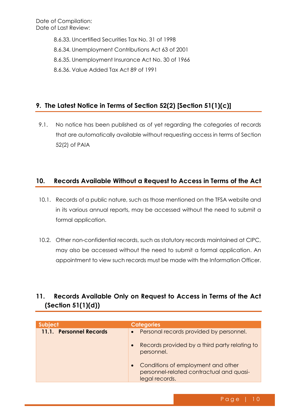> 8.6.33. Uncertified Securities Tax No. 31 of 1998 8.6.34. Unemployment Contributions Act 63 of 2001 8.6.35. Unemployment Insurance Act No. 30 of 1966 8.6.36. Value Added Tax Act 89 of 1991

## <span id="page-10-0"></span>**9. The Latest Notice in Terms of Section 52(2) [Section 51(1)(c)]**

9.1. No notice has been published as of yet regarding the categories of records that are automatically available without requesting access in terms of Section 52(2) of PAIA

## <span id="page-10-1"></span>**10. Records Available Without a Request to Access in Terms of the Act**

- 10.1. Records of a public nature, such as those mentioned on the TFSA website and in its various annual reports, may be accessed without the need to submit a formal application.
- 10.2. Other non-confidential records, such as statutory records maintained at CIPC, may also be accessed without the need to submit a formal application. An appointment to view such records must be made with the Information Officer.

## <span id="page-10-2"></span>**11. Records Available Only on Request to Access in Terms of the Act (Section 51(1)(d))**

| Subject                 | <b>Categories</b>                                                                                |
|-------------------------|--------------------------------------------------------------------------------------------------|
| 11.1. Personnel Records | Personal records provided by personnel.                                                          |
|                         | Records provided by a third party relating to<br>personnel.                                      |
|                         | Conditions of employment and other<br>personnel-related contractual and quasi-<br>legal records. |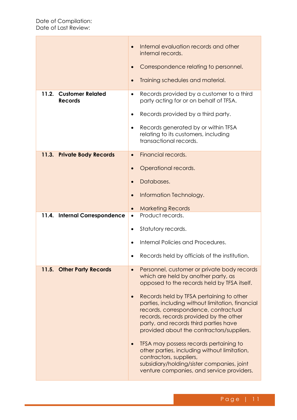|                                                    | Internal evaluation records and other<br>internal records.                                                                                                                                                                                                           |
|----------------------------------------------------|----------------------------------------------------------------------------------------------------------------------------------------------------------------------------------------------------------------------------------------------------------------------|
|                                                    | Correspondence relating to personnel.                                                                                                                                                                                                                                |
|                                                    | Training schedules and material.                                                                                                                                                                                                                                     |
| 11.2.<br><b>Customer Related</b><br><b>Records</b> | Records provided by a customer to a third<br>$\bullet$<br>party acting for or on behalf of TFSA.                                                                                                                                                                     |
|                                                    | Records provided by a third party.<br>$\bullet$                                                                                                                                                                                                                      |
|                                                    | Records generated by or within TFSA<br>٠<br>relating to its customers, including<br>transactional records.                                                                                                                                                           |
| 11.3. Private Body Records                         | Financial records.<br>$\bullet$                                                                                                                                                                                                                                      |
|                                                    | Operational records.<br>$\bullet$                                                                                                                                                                                                                                    |
|                                                    | Databases.<br>$\bullet$                                                                                                                                                                                                                                              |
|                                                    | Information Technology.<br>$\bullet$                                                                                                                                                                                                                                 |
|                                                    | <b>Marketing Records</b><br>$\bullet$                                                                                                                                                                                                                                |
| 11.4. Internal Correspondence                      | Product records.<br>$\bullet$                                                                                                                                                                                                                                        |
|                                                    | Statutory records.<br>$\bullet$                                                                                                                                                                                                                                      |
|                                                    | Internal Policies and Procedures.                                                                                                                                                                                                                                    |
|                                                    | Records held by officials of the institution.                                                                                                                                                                                                                        |
| 11.5. Other Party Records                          | Personnel, customer or private body records<br>$\bullet$<br>which are held by another party, as<br>opposed to the records held by TFSA itself.                                                                                                                       |
|                                                    | Records held by TFSA pertaining to other<br>parties, including without limitation, financial<br>records, correspondence, contractual<br>records, records provided by the other<br>party, and records third parties have<br>provided about the contractors/suppliers. |
|                                                    | TFSA may possess records pertaining to<br>other parties, including without limitation,<br>contractors, suppliers,<br>subsidiary/holding/sister companies, joint<br>venture companies, and service providers.                                                         |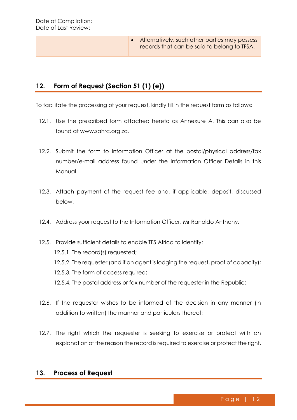• Alternatively, such other parties may possess records that can be said to belong to TFSA.

## <span id="page-12-0"></span>**12. Form of Request (Section 51 (1) (e))**

To facilitate the processing of your request, kindly fill in the request form as follows:

- 12.1. Use the prescribed form attached hereto as Annexure A. This can also be found at [www.sahrc.org.za.](http://www.sahrc.org.za/)
- 12.2. Submit the form to Information Officer at the postal/physical address/fax number/e-mail address found under the Information Officer Details in this Manual.
- 12.3. Attach payment of the request fee and, if applicable, deposit, discussed below.
- 12.4. Address your request to the Information Officer, Mr Ranaldo Anthony.

12.5. Provide sufficient details to enable TFS Africa to identify: 12.5.1. The record(s) requested; 12.5.2. The requester (and if an agent is lodging the request, proof of capacity); 12.5.3. The form of access required; 12.5.4. The postal address or fax number of the requester in the Republic;

- 12.6. If the requester wishes to be informed of the decision in any manner (in addition to written) the manner and particulars thereof;
- 12.7. The right which the requester is seeking to exercise or protect with an explanation of the reason the record is required to exercise or protect the right.

#### <span id="page-12-1"></span>**13. Process of Request**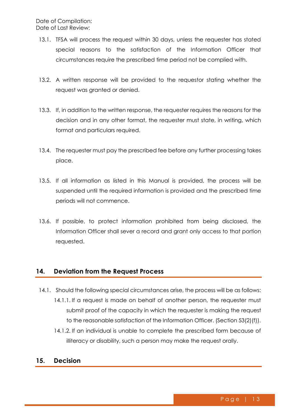- 13.1. TFSA will process the request within 30 days, unless the requester has stated special reasons to the satisfaction of the Information Officer that circumstances require the prescribed time period not be complied with.
- 13.2. A written response will be provided to the requestor stating whether the request was granted or denied.
- 13.3. If, in addition to the written response, the requester requires the reasons for the decision and in any other format, the requester must state, in writing, which format and particulars required.
- 13.4. The requester must pay the prescribed fee before any further processing takes place.
- 13.5. If all information as listed in this Manual is provided, the process will be suspended until the required information is provided and the prescribed time periods will not commence.
- 13.6. If possible, to protect information prohibited from being disclosed, the Information Officer shall sever a record and grant only access to that portion requested.

#### <span id="page-13-0"></span>**14. Deviation from the Request Process**

- 14.1. Should the following special circumstances arise, the process will be as follows: 14.1.1. If a request is made on behalf of another person, the requester must submit proof of the capacity in which the requester is making the request to the reasonable satisfaction of the Information Officer. (Section 53(2)(f)).
	- 14.1.2. If an individual is unable to complete the prescribed form because of illiteracy or disability, such a person may make the request orally.

## <span id="page-13-1"></span>**15. Decision**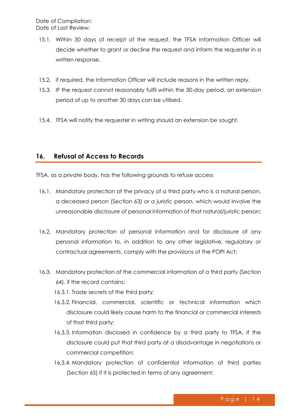- 15.1. Within 30 days of receipt of the request, the TFSA Information Officer will decide whether to grant or decline the request and inform the requester in a written response.
- 15.2. if required, the Information Officer will include reasons in the written reply.
- 15.3. IF the request cannot reasonably fulfil within the 30-day period, an extension period of up to another 30 days can be utilised.
- 15.4. TFSA will notify the requester in writing should an extension be sought.

#### <span id="page-14-0"></span>**16. Refusal of Access to Records**

TFSA, as a private body, has the following grounds to refuse access

- 16.1. Mandatory protection of the privacy of a third party who is a natural person, a deceased person (Section 63) or a juristic person, which would involve the unreasonable disclosure of personal information of that natural/juristic person;
- 16.2. Mandatory protection of personal information and for disclosure of any personal information to, in addition to any other legislative, regulatory or contractual agreements, comply with the provisions of the POPI Act;
- 16.3. Mandatory protection of the commercial information of a third party (Section 64), if the record contains:
	- 16.3.1. Trade secrets of the third party;
	- 16.3.2. Financial, commercial, scientific or technical information which disclosure could likely cause harm to the financial or commercial interests of that third party;
	- 16.3.3. Information disclosed in confidence by a third party to TFSA, if the disclosure could put that third party at a disadvantage in negotiations or commercial competition;
	- 16.3.4. Mandatory protection of confidential information of third parties (Section 65) if it is protected in terms of any agreement;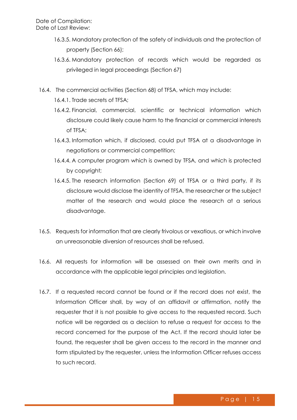- 16.3.5. Mandatory protection of the safety of individuals and the protection of property (Section 66);
- 16.3.6. Mandatory protection of records which would be regarded as privileged in legal proceedings (Section 67)
- 16.4. The commercial activities (Section 68) of TFSA, which may include:
	- 16.4.1. Trade secrets of TFSA;
	- 16.4.2. Financial, commercial, scientific or technical information which disclosure could likely cause harm to the financial or commercial interests of TFSA;
	- 16.4.3. Information which, if disclosed, could put TFSA at a disadvantage in negotiations or commercial competition;
	- 16.4.4. A computer program which is owned by TFSA, and which is protected by copyright;
	- 16.4.5. The research information (Section 69) of TFSA or a third party, if its disclosure would disclose the identity of TFSA, the researcher or the subject matter of the research and would place the research at a serious disadvantage.
- 16.5. Requests for information that are clearly frivolous or vexatious, or which involve an unreasonable diversion of resources shall be refused.
- 16.6. All requests for information will be assessed on their own merits and in accordance with the applicable legal principles and legislation.
- 16.7. If a requested record cannot be found or if the record does not exist, the Information Officer shall, by way of an affidavit or affirmation, notify the requester that it is not possible to give access to the requested record. Such notice will be regarded as a decision to refuse a request for access to the record concerned for the purpose of the Act. If the record should later be found, the requester shall be given access to the record in the manner and form stipulated by the requester, unless the Information Officer refuses access to such record.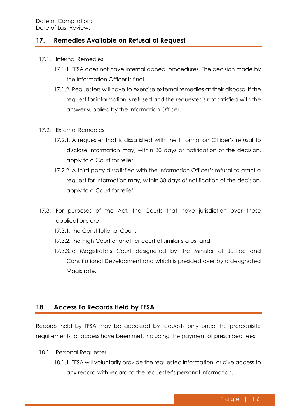## <span id="page-16-0"></span>**17. Remedies Available on Refusal of Request**

- 17.1. Internal Remedies
	- 17.1.1. TFSA does not have internal appeal procedures. The decision made by the Information Officer is final.
	- 17.1.2. Requesters will have to exercise external remedies at their disposal if the request for information is refused and the requester is not satisfied with the answer supplied by the Information Officer.
- 17.2. External Remedies
	- 17.2.1. A requester that is dissatisfied with the Information Officer's refusal to disclose information may, within 30 days of notification of the decision, apply to a Court for relief.
	- 17.2.2. A third party dissatisfied with the Information Officer's refusal to grant a request for information may, within 30 days of notification of the decision, apply to a Court for relief.
- 17.3. For purposes of the Act, the Courts that have jurisdiction over these applications are
	- 17.3.1. the Constitutional Court;
	- 17.3.2. the High Court or another court of similar status; and
	- 17.3.3. a Magistrate's Court designated by the Minister of Justice and Constitutional Development and which is presided over by a designated Maaistrate.

## <span id="page-16-1"></span>**18. Access To Records Held by TFSA**

Records held by TFSA may be accessed by requests only once the prerequisite requirements for access have been met, including the payment of prescribed fees.

- 18.1. Personal Requester
	- 18.1.1. TFSA will voluntarily provide the requested information, or give access to any record with regard to the requester's personal information.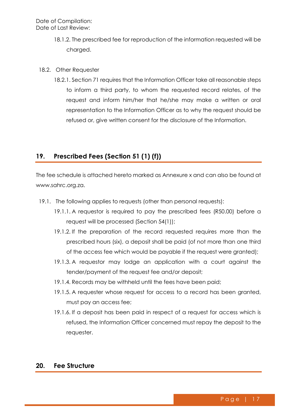- 18.1.2. The prescribed fee for reproduction of the information requested will be charged.
- 18.2. Other Requester
	- 18.2.1. Section 71 requires that the Information Officer take all reasonable steps to inform a third party, to whom the requested record relates, of the request and inform him/her that he/she may make a written or oral representation to the Information Officer as to why the request should be refused or, give written consent for the disclosure of the Information.

## <span id="page-17-0"></span>**19. Prescribed Fees (Section 51 (1) (f))**

The fee schedule is attached hereto marked as Annexure x and can also be found at [www.sahrc.org.za.](http://www.sahrc.org.za/)

- 19.1. The following applies to requests (other than personal requests):
	- 19.1.1. A requestor is required to pay the prescribed fees (R50.00) before a request will be processed (Section 54(1));
	- 19.1.2. If the preparation of the record requested requires more than the prescribed hours (six), a deposit shall be paid (of not more than one third of the access fee which would be payable if the request were granted);
	- 19.1.3. A requestor may lodge an application with a court against the tender/payment of the request fee and/or deposit;
	- 19.1.4. Records may be withheld until the fees have been paid;
	- 19.1.5. A requester whose request for access to a record has been granted, must pay an access fee;
	- 19.1.6. If a deposit has been paid in respect of a request for access which is refused, the Information Officer concerned must repay the deposit to the requester.

#### <span id="page-17-1"></span>**20. Fee Structure**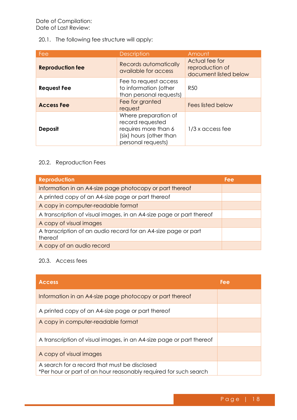#### 20.1. The following fee structure will apply:

| Fee                     | <b>Description</b>                                                                                                | Amount                                                     |
|-------------------------|-------------------------------------------------------------------------------------------------------------------|------------------------------------------------------------|
| <b>Reproduction fee</b> | Records automatically<br>available for access                                                                     | Actual fee for<br>reproduction of<br>document listed below |
| <b>Request Fee</b>      | Fee to request access<br>to information (other<br>than personal requests)                                         | <b>R50</b>                                                 |
| <b>Access Fee</b>       | Fee for granted<br>request                                                                                        | <b>Fees listed below</b>                                   |
| <b>Deposit</b>          | Where preparation of<br>record requested<br>requires more than 6<br>(six) hours (other than<br>personal requests) | $1/3$ x access fee                                         |

#### 20.2. Reproduction Fees

| <b>Reproduction</b>                                                       | Fee |
|---------------------------------------------------------------------------|-----|
| Information in an A4-size page photocopy or part thereof                  |     |
| A printed copy of an A4-size page or part thereof                         |     |
| A copy in computer-readable format                                        |     |
| A transcription of visual images, in an A4-size page or part thereof      |     |
| A copy of visual images                                                   |     |
| A transcription of an audio record for an A4-size page or part<br>thereof |     |
| A copy of an audio record                                                 |     |

## 20.3. Access fees

| <b>Access</b>                                                                                                    | Fee |
|------------------------------------------------------------------------------------------------------------------|-----|
| Information in an A4-size page photocopy or part thereof                                                         |     |
| A printed copy of an A4-size page or part thereof                                                                |     |
| A copy in computer-readable format                                                                               |     |
| A transcription of visual images, in an A4-size page or part thereof                                             |     |
| A copy of visual images                                                                                          |     |
| A search for a record that must be disclosed<br>*Per hour or part of an hour reasonably required for such search |     |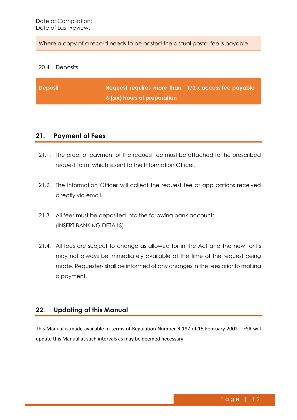Where a copy of a record needs to be posted the actual postal fee is payable.

#### 20.4. Deposits

| Deposit | Request requires more than $1/3$ x access fee payable |  |
|---------|-------------------------------------------------------|--|
|         | 6 (six) hours of preparation                          |  |

#### <span id="page-19-0"></span>**21. Payment of Fees**

- 21.1. The proof of payment of the request fee must be attached to the prescribed request form, which is sent to the Information Officer.
- 21.2. The Information Officer will collect the request fee of applications received directly via email.
- 21.3. All fees must be deposited into the following bank account: (INSERT BANKING DETAILS)
- 21.4. All fees are subject to change as allowed for in the Act and the new tariffs may not always be immediately available at the time of the request being made. Requesters shall be informed of any changes in the fees prior to making a payment.

#### <span id="page-19-1"></span>**22. Updating of this Manual**

This Manual is made available in terms of Regulation Number R.187 of 15 February 2002. TFSA will update this Manual at such intervals as may be deemed necessary.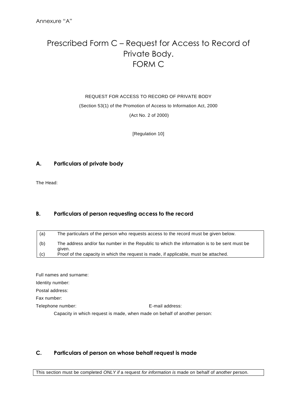# <span id="page-20-0"></span>Prescribed Form C – Request for Access to Record of Private Body. FORM C

#### REQUEST FOR ACCESS TO RECORD OF PRIVATE BODY

(Section 53(1) of the Promotion of Access to Information Act, 2000

(Act No. 2 of 2000)

[Regulation 10]

#### **A. Particulars of private body**

The Head:

#### **B. Particulars of person requesting access to the record**

| (a) | The particulars of the person who requests access to the record must be given below.                   |
|-----|--------------------------------------------------------------------------------------------------------|
| (b) | The address and/or fax number in the Republic to which the information is to be sent must be<br>given. |
| (c) | Proof of the capacity in which the request is made, if applicable, must be attached.                   |

Full names and surname: Identity number: Postal address: Fax number: Telephone number: E-mail address: Capacity in which request is made, when made on behalf of another person:

#### **C. Particulars of person on whose behalf request is made**

This section must be completed *ONLY if* a request *for information is* made on behalf of *another* person.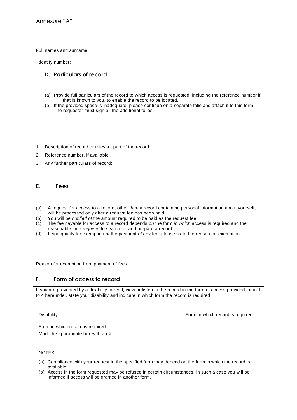Full names and surname:

Identity number:

#### **D. Particulars of record**

- (a) Provide full particulars of the record to which access is requested, including the reference number if that is known to you, to enable the record to be located.
- (b) If the provided space is inadequate, please continue on a separate folio and attach it to this form. The requester must sign all the additional folios.
- 1 Description of record or relevant part of the record:
- 2 Reference number, if available:
- 3 Any further particulars of record:

#### **E. Fees**

- (a) A request for access to a record, other *than* a record containing personal information about yourself, will be processed only after a request fee has been paid.
- (b) You will be *notified of* the amount required to be paid as the request fee.
- (c) The fee payable for access to a record depends *on* the form *in which* access is required and the reasonable time *required* to search for and prepare a record.
- (d) If you qualify for exemption *of* the payment *of* any fee, please state the reason for exemption.

Reason for exemption from payment of fees:

#### **F. Form of access to record**

If you are prevented by a disability to read, view or listen to the record in the form of access provided for in 1 to 4 hereunder, state your disability and indicate in which form the record is required.

| Disability:                                                                                                                                                    | Form in which record is required |
|----------------------------------------------------------------------------------------------------------------------------------------------------------------|----------------------------------|
| Form in which record is required:                                                                                                                              |                                  |
| Mark the appropriate box with an X.                                                                                                                            |                                  |
|                                                                                                                                                                |                                  |
|                                                                                                                                                                |                                  |
| NOTES:                                                                                                                                                         |                                  |
| Compliance with your request in the specified form may depend on the form in which the record is<br>(a)<br>available.                                          |                                  |
| Access in the form requested may be refused in certain circumstances. In such a case you will be<br>(b)<br>informed if access will be granted in another form. |                                  |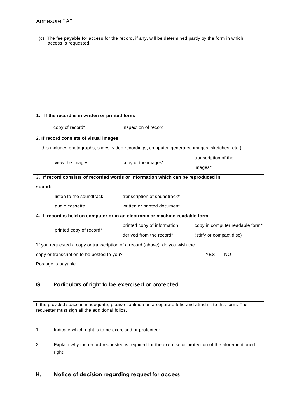| (c) The fee payable for access for the record, if any, will be determined partly by the form in which |
|-------------------------------------------------------------------------------------------------------|
| access is requested.                                                                                  |

| 1. If the record is in written or printed form:                                                 |                          |  |                                                      |         |                                 |     |  |  |
|-------------------------------------------------------------------------------------------------|--------------------------|--|------------------------------------------------------|---------|---------------------------------|-----|--|--|
|                                                                                                 | copy of record*          |  | inspection of record                                 |         |                                 |     |  |  |
| 2. If record consists of visual images                                                          |                          |  |                                                      |         |                                 |     |  |  |
| this includes photographs, slides, video recordings, computer-generated images, sketches, etc.) |                          |  |                                                      |         |                                 |     |  |  |
|                                                                                                 |                          |  |                                                      |         | transcription of the            |     |  |  |
|                                                                                                 | view the images          |  | copy of the images"                                  | images* |                                 |     |  |  |
| 3. If record consists of recorded words or information which can be reproduced in               |                          |  |                                                      |         |                                 |     |  |  |
| sound:                                                                                          |                          |  |                                                      |         |                                 |     |  |  |
|                                                                                                 | listen to the soundtrack |  | transcription of soundtrack*                         |         |                                 |     |  |  |
|                                                                                                 | audio cassette           |  | written or printed document                          |         |                                 |     |  |  |
| 4. If record is held on computer or in an electronic or machine-readable form:                  |                          |  |                                                      |         |                                 |     |  |  |
|                                                                                                 | printed copy of record*  |  | printed copy of information                          |         | copy in computer readable form* |     |  |  |
|                                                                                                 |                          |  | derived from the record"<br>(stiffy or compact disc) |         |                                 |     |  |  |
| 'If you requested a copy or transcription of a record (above), do you wish the                  |                          |  |                                                      |         |                                 |     |  |  |
| copy or transcription to be posted to you?                                                      |                          |  |                                                      |         | <b>YES</b>                      | NO. |  |  |
| Postage is payable.                                                                             |                          |  |                                                      |         |                                 |     |  |  |

#### **G Particulars of right to be exercised or protected**

If the provided space is inadequate, please continue on a separate folio and attach it to this form. The requester must sign all the additional folios.

- 1. Indicate which right is to be exercised or protected:
- 2. Explain why the record requested is required for the exercise or protection of the aforementioned right:
- **H. Notice of decision regarding request for access**